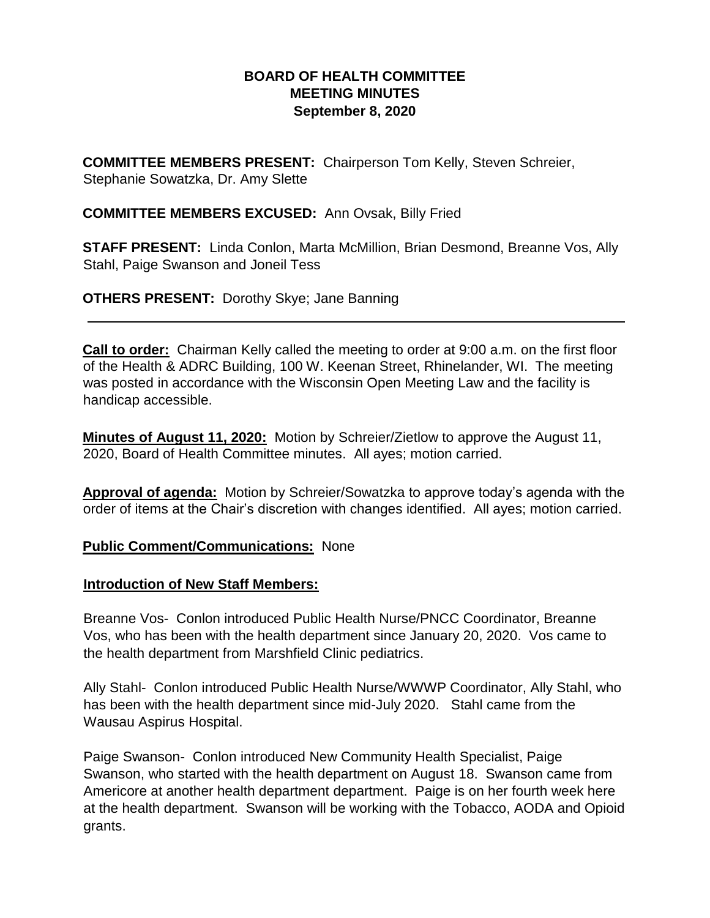## **BOARD OF HEALTH COMMITTEE MEETING MINUTES September 8, 2020**

**COMMITTEE MEMBERS PRESENT:** Chairperson Tom Kelly, Steven Schreier, Stephanie Sowatzka, Dr. Amy Slette

## **COMMITTEE MEMBERS EXCUSED:** Ann Ovsak, Billy Fried

**STAFF PRESENT:** Linda Conlon, Marta McMillion, Brian Desmond, Breanne Vos, Ally Stahl, Paige Swanson and Joneil Tess

**OTHERS PRESENT:** Dorothy Skye; Jane Banning

**Call to order:** Chairman Kelly called the meeting to order at 9:00 a.m. on the first floor of the Health & ADRC Building, 100 W. Keenan Street, Rhinelander, WI. The meeting was posted in accordance with the Wisconsin Open Meeting Law and the facility is handicap accessible.

**Minutes of August 11, 2020:** Motion by Schreier/Zietlow to approve the August 11, 2020, Board of Health Committee minutes. All ayes; motion carried.

**Approval of agenda:** Motion by Schreier/Sowatzka to approve today's agenda with the order of items at the Chair's discretion with changes identified. All ayes; motion carried.

#### **Public Comment/Communications:** None

#### **Introduction of New Staff Members:**

Breanne Vos- Conlon introduced Public Health Nurse/PNCC Coordinator, Breanne Vos, who has been with the health department since January 20, 2020. Vos came to the health department from Marshfield Clinic pediatrics.

Ally Stahl- Conlon introduced Public Health Nurse/WWWP Coordinator, Ally Stahl, who has been with the health department since mid-July 2020. Stahl came from the Wausau Aspirus Hospital.

Paige Swanson- Conlon introduced New Community Health Specialist, Paige Swanson, who started with the health department on August 18. Swanson came from Americore at another health department department. Paige is on her fourth week here at the health department. Swanson will be working with the Tobacco, AODA and Opioid grants.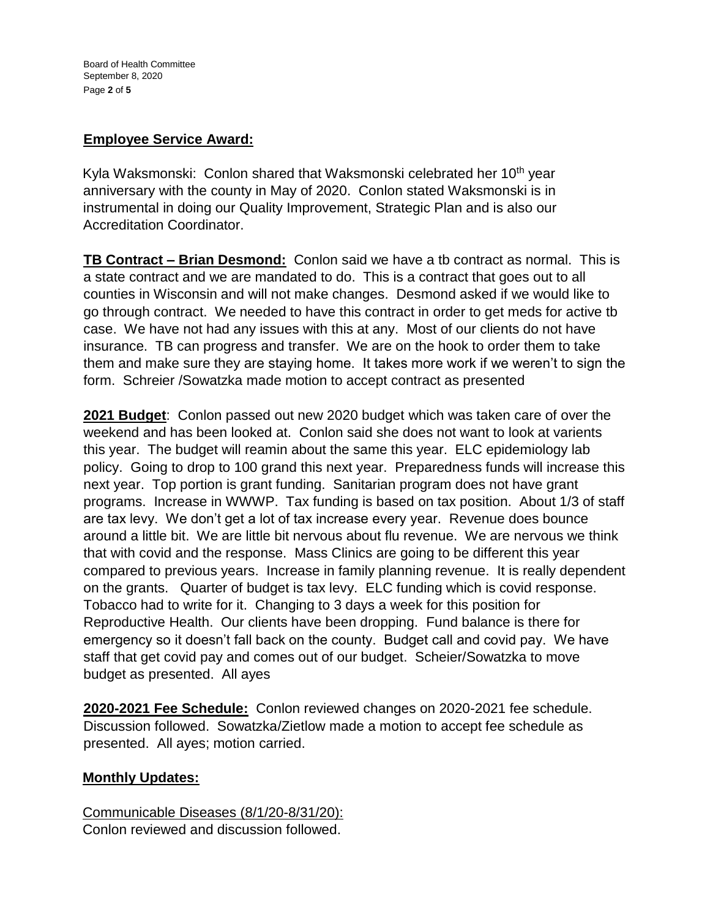# **Employee Service Award:**

Kyla Waksmonski: Conlon shared that Waksmonski celebrated her 10<sup>th</sup> year anniversary with the county in May of 2020. Conlon stated Waksmonski is in instrumental in doing our Quality Improvement, Strategic Plan and is also our Accreditation Coordinator.

**TB Contract – Brian Desmond:** Conlon said we have a tb contract as normal. This is a state contract and we are mandated to do. This is a contract that goes out to all counties in Wisconsin and will not make changes. Desmond asked if we would like to go through contract. We needed to have this contract in order to get meds for active tb case. We have not had any issues with this at any. Most of our clients do not have insurance. TB can progress and transfer. We are on the hook to order them to take them and make sure they are staying home. It takes more work if we weren't to sign the form. Schreier /Sowatzka made motion to accept contract as presented

**2021 Budget**: Conlon passed out new 2020 budget which was taken care of over the weekend and has been looked at. Conlon said she does not want to look at varients this year. The budget will reamin about the same this year. ELC epidemiology lab policy. Going to drop to 100 grand this next year. Preparedness funds will increase this next year. Top portion is grant funding. Sanitarian program does not have grant programs. Increase in WWWP. Tax funding is based on tax position. About 1/3 of staff are tax levy. We don't get a lot of tax increase every year. Revenue does bounce around a little bit. We are little bit nervous about flu revenue. We are nervous we think that with covid and the response. Mass Clinics are going to be different this year compared to previous years. Increase in family planning revenue. It is really dependent on the grants. Quarter of budget is tax levy. ELC funding which is covid response. Tobacco had to write for it. Changing to 3 days a week for this position for Reproductive Health. Our clients have been dropping. Fund balance is there for emergency so it doesn't fall back on the county. Budget call and covid pay. We have staff that get covid pay and comes out of our budget. Scheier/Sowatzka to move budget as presented. All ayes

**2020-2021 Fee Schedule:** Conlon reviewed changes on 2020-2021 fee schedule. Discussion followed. Sowatzka/Zietlow made a motion to accept fee schedule as presented. All ayes; motion carried.

#### **Monthly Updates:**

Communicable Diseases (8/1/20-8/31/20): Conlon reviewed and discussion followed.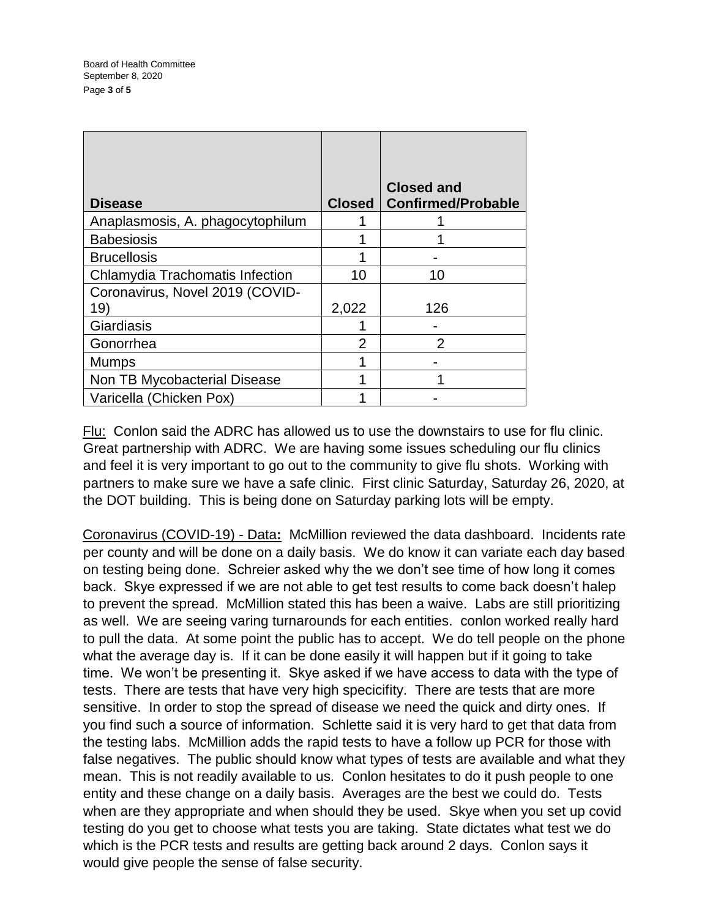| <b>Disease</b>                   | Closed | <b>Closed and</b><br><b>Confirmed/Probable</b> |
|----------------------------------|--------|------------------------------------------------|
| Anaplasmosis, A. phagocytophilum |        |                                                |
| <b>Babesiosis</b>                |        |                                                |
| <b>Brucellosis</b>               |        |                                                |
| Chlamydia Trachomatis Infection  | 10     | 10                                             |
| Coronavirus, Novel 2019 (COVID-  |        |                                                |
| 19)                              | 2,022  | 126                                            |
| Giardiasis                       |        |                                                |
| Gonorrhea                        |        | 2                                              |
| <b>Mumps</b>                     |        |                                                |
| Non TB Mycobacterial Disease     |        |                                                |
| Varicella (Chicken Pox)          |        |                                                |

Flu: Conlon said the ADRC has allowed us to use the downstairs to use for flu clinic. Great partnership with ADRC. We are having some issues scheduling our flu clinics and feel it is very important to go out to the community to give flu shots. Working with partners to make sure we have a safe clinic. First clinic Saturday, Saturday 26, 2020, at the DOT building. This is being done on Saturday parking lots will be empty.

Coronavirus (COVID-19) - Data**:** McMillion reviewed the data dashboard. Incidents rate per county and will be done on a daily basis. We do know it can variate each day based on testing being done. Schreier asked why the we don't see time of how long it comes back. Skye expressed if we are not able to get test results to come back doesn't halep to prevent the spread. McMillion stated this has been a waive. Labs are still prioritizing as well. We are seeing varing turnarounds for each entities. conlon worked really hard to pull the data. At some point the public has to accept. We do tell people on the phone what the average day is. If it can be done easily it will happen but if it going to take time. We won't be presenting it. Skye asked if we have access to data with the type of tests. There are tests that have very high specicifity. There are tests that are more sensitive. In order to stop the spread of disease we need the quick and dirty ones. If you find such a source of information. Schlette said it is very hard to get that data from the testing labs. McMillion adds the rapid tests to have a follow up PCR for those with false negatives. The public should know what types of tests are available and what they mean. This is not readily available to us. Conlon hesitates to do it push people to one entity and these change on a daily basis. Averages are the best we could do. Tests when are they appropriate and when should they be used. Skye when you set up covid testing do you get to choose what tests you are taking. State dictates what test we do which is the PCR tests and results are getting back around 2 days. Conlon says it would give people the sense of false security.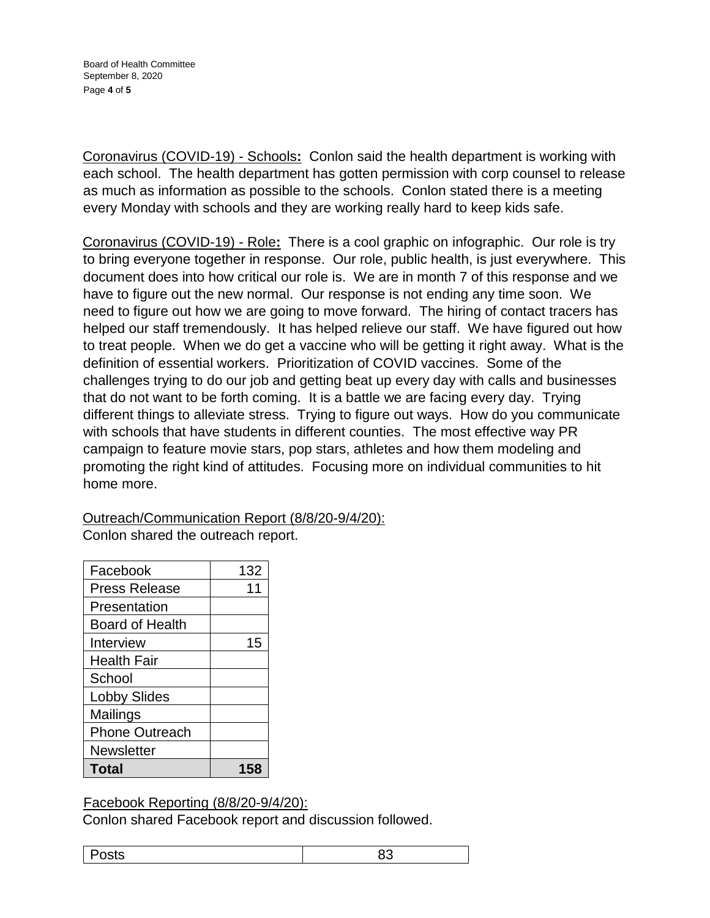Board of Health Committee September 8, 2020 Page **4** of **5**

Coronavirus (COVID-19) - Schools**:** Conlon said the health department is working with each school. The health department has gotten permission with corp counsel to release as much as information as possible to the schools. Conlon stated there is a meeting every Monday with schools and they are working really hard to keep kids safe.

Coronavirus (COVID-19) - Role**:** There is a cool graphic on infographic. Our role is try to bring everyone together in response. Our role, public health, is just everywhere. This document does into how critical our role is. We are in month 7 of this response and we have to figure out the new normal. Our response is not ending any time soon. We need to figure out how we are going to move forward. The hiring of contact tracers has helped our staff tremendously. It has helped relieve our staff. We have figured out how to treat people. When we do get a vaccine who will be getting it right away. What is the definition of essential workers. Prioritization of COVID vaccines. Some of the challenges trying to do our job and getting beat up every day with calls and businesses that do not want to be forth coming. It is a battle we are facing every day. Trying different things to alleviate stress. Trying to figure out ways. How do you communicate with schools that have students in different counties. The most effective way PR campaign to feature movie stars, pop stars, athletes and how them modeling and promoting the right kind of attitudes. Focusing more on individual communities to hit home more.

Outreach/Communication Report (8/8/20-9/4/20):

Conlon shared the outreach report.

| Facebook               | 132 |
|------------------------|-----|
| <b>Press Release</b>   | 11  |
| Presentation           |     |
| <b>Board of Health</b> |     |
| Interview              | 15  |
| <b>Health Fair</b>     |     |
| School                 |     |
| <b>Lobby Slides</b>    |     |
| Mailings               |     |
| <b>Phone Outreach</b>  |     |
| <b>Newsletter</b>      |     |
| Total                  | 158 |

Facebook Reporting (8/8/20-9/4/20):

Conlon shared Facebook report and discussion followed.

Posts 83